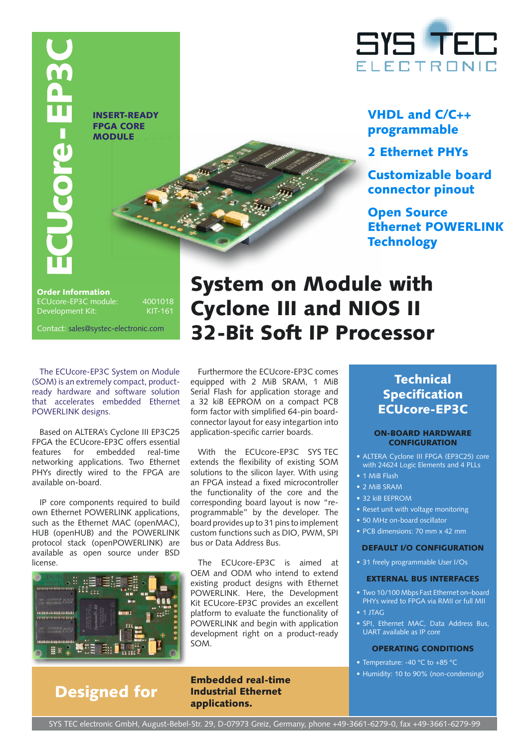



VHDL and C/C++ programmable

2 Ethernet PHYs

Customizable board connector pinout

Open Source Ethernet POWERLINK **Technology** 

Order Information ECUcore-EP3C module: 4001018 Development Kit: KIT-161

The ECUcore-EP3C System on Module (SOM) is an extremely compact, productready hardware and software solution that accelerates embedded Ethernet POWERLINK designs.

Based on ALTERA's Cyclone III EP3C25 FPGA the ECUcore-EP3C offers essential features for embedded real-time networking applications. Two Ethernet PHYs directly wired to the FPGA are available on-board.

IP core components required to build own Ethernet POWERLINK applications, such as the Ethernet MAC (openMAC), HUB (openHUB) and the POWERLINK protocol stack (openPOWERLINK) are available as open source under BSD license.



## Designed for

# System on Module with Cyclone III and NIOS II 32‑Bit Soft IP Processor

Furthermore the ECUcore-EP3C comes equipped with 2 MiB SRAM, 1 MiB Serial Flash for application storage and a 32 kiB EEPROM on a compact PCB form factor with simplified 64-pin boardconnector layout for easy integartion into application-specific carrier boards.

With the ECUcore-EP3C SYS TEC extends the flexibility of existing SOM solutions to the silicon layer. With using an FPGA instead a fixed microcontroller the functionality of the core and the corresponding board layout is now "reprogrammable" by the developer. The board provides up to 31 pins to implement custom functions such as DIO, PWM, SPI bus or Data Address Bus.

The ECUcore-EP3C is aimed at OEM and ODM who intend to extend existing product designs with Ethernet POWERLINK. Here, the Development Kit ECUcore-EP3C provides an excellent platform to evaluate the functionality of POWERLINK and begin with application development right on a product-ready SOM.

Embedded real-time Industrial Ethernet applications.

## **Technical Specification** ECUcore-EP3C

### On-board Hardware **CONFIGURATION**

• ALTERA Cyclone III FPGA (EP3C25) core with 24624 Logic Elements and 4 PLLs

- 1 MiB Flash
- • 2 MiB SRAM
- • 32 kiB EEPROM
- Reset unit with voltage monitoring
- 50 MHz on-board oscillator
- • PCB dimensions: 70 mm x 42 mm

### Default i/o configuration

• 31 freely programmable User I/Os

### External bus interfaces

- Two 10/100 Mbps Fast Ethernet on-board PHYs wired to FPGA via RMII or full MII
- $\bullet$  1 JTAG
- SPI, Ethernet MAC, Data Address Bus, UART available as IP core

### Operating conditions

- Temperature: -40 °C to +85 °C
- Humidity: 10 to 90% (non-condensing)